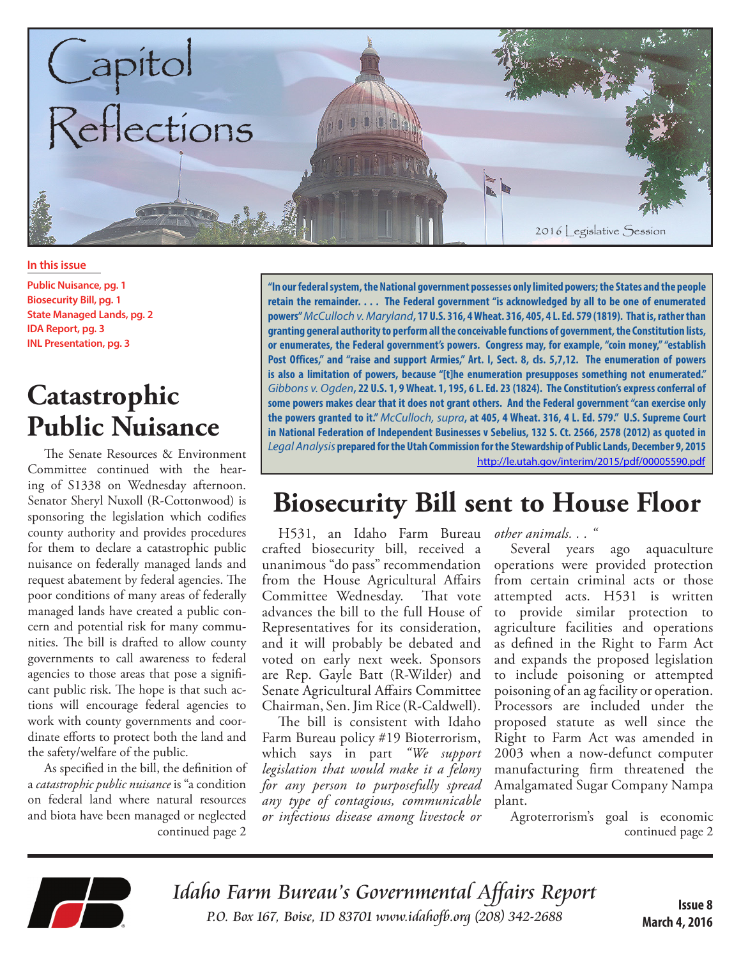

**In this issue**

**Public Nuisance, pg. 1 Biosecurity Bill, pg. 1 State Managed Lands, pg. 2 IDA Report, pg. 3 INL Presentation, pg. 3**

# **Catastrophic Public Nuisance**

The Senate Resources & Environment Committee continued with the hearing of S1338 on Wednesday afternoon. Senator Sheryl Nuxoll (R-Cottonwood) is sponsoring the legislation which codifies county authority and provides procedures for them to declare a catastrophic public nuisance on federally managed lands and request abatement by federal agencies. The poor conditions of many areas of federally managed lands have created a public concern and potential risk for many communities. The bill is drafted to allow county governments to call awareness to federal agencies to those areas that pose a significant public risk. The hope is that such actions will encourage federal agencies to work with county governments and coordinate efforts to protect both the land and the safety/welfare of the public.

continued page 2 As specified in the bill, the definition of a *catastrophic public nuisance* is "a condition on federal land where natural resources and biota have been managed or neglected

**"In our federal system, the National government possesses only limited powers; the States and the people retain the remainder. . . . The Federal government "is acknowledged by all to be one of enumerated powers"** *McCulloch v. Maryland***, 17 U.S. 316, 4 Wheat. 316, 405, 4 L. Ed. 579 (1819). That is, rather than granting general authority to perform all the conceivable functions of government, the Constitution lists, or enumerates, the Federal government's powers. Congress may, for example, "coin money," "establish**  Post Offices," and "raise and support Armies," Art. I, Sect. 8, cls. 5,7,12. The enumeration of powers **is also a limitation of powers, because "[t]he enumeration presupposes something not enumerated."**  *Gibbons v. Ogden***, 22 U.S. 1, 9 Wheat. 1, 195, 6 L. Ed. 23 (1824). The Constitution's express conferral of some powers makes clear that it does not grant others. And the Federal government "can exercise only the powers granted to it."** *McCulloch, supra***, at 405, 4 Wheat. 316, 4 L. Ed. 579." U.S. Supreme Court in National Federation of Independent Businesses v Sebelius, 132 S. Ct. 2566, 2578 (2012) as quoted in**  *Legal Analysis* **prepared for the Utah Commission for the Stewardship of Public Lands, December 9, 2015** <http://le.utah.gov/interim/2015/pdf/00005590.pdf>

## **Biosecurity Bill sent to House Floor**

H531, an Idaho Farm Bureau crafted biosecurity bill, received a unanimous "do pass" recommendation from the House Agricultural Affairs Committee Wednesday. That vote advances the bill to the full House of Representatives for its consideration, and it will probably be debated and voted on early next week. Sponsors are Rep. Gayle Batt (R-Wilder) and Senate Agricultural Affairs Committee Chairman, Sen. Jim Rice (R-Caldwell).

The bill is consistent with Idaho Farm Bureau policy #19 Bioterrorism, which says in part *"We support legislation that would make it a felony for any person to purposefully spread any type of contagious, communicable or infectious disease among livestock or*  *other animals. . . "* 

Several years ago aquaculture operations were provided protection from certain criminal acts or those attempted acts. H531 is written to provide similar protection to agriculture facilities and operations as defined in the Right to Farm Act and expands the proposed legislation to include poisoning or attempted poisoning of an ag facility or operation. Processors are included under the proposed statute as well since the Right to Farm Act was amended in 2003 when a now-defunct computer manufacturing firm threatened the Amalgamated Sugar Company Nampa plant.

Agroterrorism's goal is economic continued page 2



Idaho Farm Bureau's Governmental Affairs Report P.O. Box 167, Boise, ID 83701 <www.idahofb.org>(208) 342-2688 **Issue 8**

**March 4, 2016**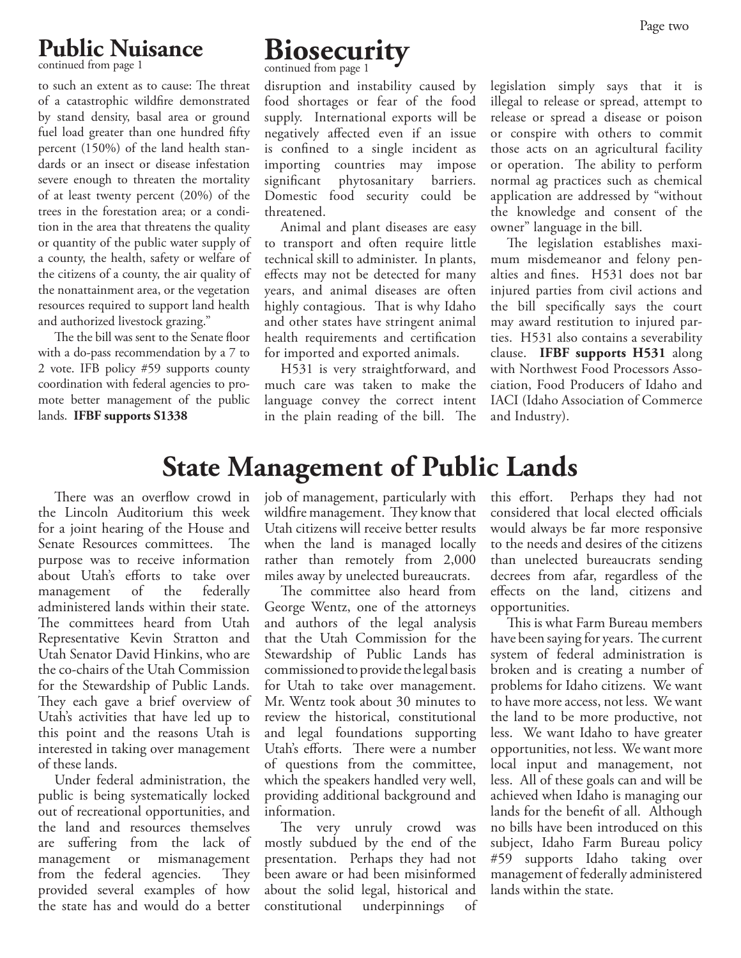#### **Public Nuisance**

continued from page 1

to such an extent as to cause: The threat of a catastrophic wildfire demonstrated by stand density, basal area or ground fuel load greater than one hundred fifty percent (150%) of the land health standards or an insect or disease infestation severe enough to threaten the mortality of at least twenty percent (20%) of the trees in the forestation area; or a condition in the area that threatens the quality or quantity of the public water supply of a county, the health, safety or welfare of the citizens of a county, the air quality of the nonattainment area, or the vegetation resources required to support land health and authorized livestock grazing."

The the bill was sent to the Senate floor with a do-pass recommendation by a 7 to 2 vote. IFB policy #59 supports county coordination with federal agencies to promote better management of the public lands. **IFBF supports S1338**

# **Biosecurity**

continued from page 1

disruption and instability caused by food shortages or fear of the food supply. International exports will be negatively affected even if an issue is confined to a single incident as importing countries may impose significant phytosanitary barriers. Domestic food security could be threatened.

Animal and plant diseases are easy to transport and often require little technical skill to administer. In plants, effects may not be detected for many years, and animal diseases are often highly contagious. That is why Idaho and other states have stringent animal health requirements and certification for imported and exported animals.

H531 is very straightforward, and much care was taken to make the language convey the correct intent in the plain reading of the bill. The

legislation simply says that it is illegal to release or spread, attempt to release or spread a disease or poison or conspire with others to commit those acts on an agricultural facility or operation. The ability to perform normal ag practices such as chemical application are addressed by "without the knowledge and consent of the owner" language in the bill.

The legislation establishes maximum misdemeanor and felony penalties and fines. H531 does not bar injured parties from civil actions and the bill specifically says the court may award restitution to injured parties. H531 also contains a severability clause. **IFBF supports H531** along with Northwest Food Processors Association, Food Producers of Idaho and IACI (Idaho Association of Commerce and Industry).

#### **State Management of Public Lands**

There was an overflow crowd in the Lincoln Auditorium this week for a joint hearing of the House and Senate Resources committees. The purpose was to receive information about Utah's efforts to take over management of the federally administered lands within their state. The committees heard from Utah Representative Kevin Stratton and Utah Senator David Hinkins, who are the co-chairs of the Utah Commission for the Stewardship of Public Lands. They each gave a brief overview of Utah's activities that have led up to this point and the reasons Utah is interested in taking over management of these lands.

Under federal administration, the public is being systematically locked out of recreational opportunities, and the land and resources themselves are suffering from the lack of management or mismanagement from the federal agencies. They provided several examples of how the state has and would do a better job of management, particularly with wildfire management. They know that Utah citizens will receive better results when the land is managed locally rather than remotely from 2,000 miles away by unelected bureaucrats.

The committee also heard from George Wentz, one of the attorneys and authors of the legal analysis that the Utah Commission for the Stewardship of Public Lands has commissioned to provide the legal basis for Utah to take over management. Mr. Wentz took about 30 minutes to review the historical, constitutional and legal foundations supporting Utah's efforts. There were a number of questions from the committee, which the speakers handled very well, providing additional background and information.

The very unruly crowd was mostly subdued by the end of the presentation. Perhaps they had not been aware or had been misinformed about the solid legal, historical and constitutional underpinnings of this effort. Perhaps they had not considered that local elected officials would always be far more responsive to the needs and desires of the citizens than unelected bureaucrats sending decrees from afar, regardless of the effects on the land, citizens and opportunities.

This is what Farm Bureau members have been saying for years. The current system of federal administration is broken and is creating a number of problems for Idaho citizens. We want to have more access, not less. We want the land to be more productive, not less. We want Idaho to have greater opportunities, not less. We want more local input and management, not less. All of these goals can and will be achieved when Idaho is managing our lands for the benefit of all. Although no bills have been introduced on this subject, Idaho Farm Bureau policy #59 supports Idaho taking over management of federally administered lands within the state.